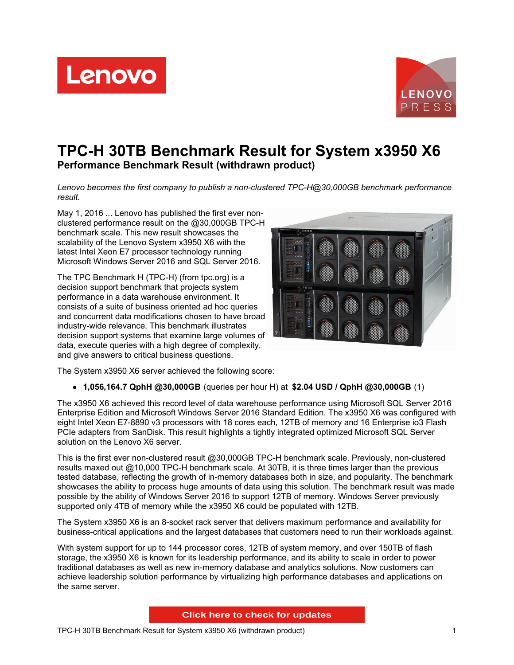Lenovo



# **TPC-H 30TB Benchmark Result for System x3950 X6 Performance Benchmark Result (withdrawn product)**

*Lenovo becomes the first company to publish a non-clustered TPC-H@30,000GB benchmark performance result.*

May 1, 2016 ... Lenovo has published the first ever nonclustered performance result on the @30,000GB TPC-H benchmark scale. This new result showcases the scalability of the Lenovo System x3950 X6 with the latest Intel Xeon E7 processor technology running Microsoft Windows Server 2016 and SQL Server 2016.

The TPC Benchmark H (TPC-H) (from tpc.org) is a decision support benchmark that projects system performance in a data warehouse environment. It consists of a suite of business oriented ad hoc queries and concurrent data modifications chosen to have broad industry-wide relevance. This benchmark illustrates decision support systems that examine large volumes of data, execute queries with a high degree of complexity, and give answers to critical business questions.



The System x3950 X6 server achieved the following score:

**1,056,164.7 QphH @30,000GB** (queries per hour H) at **\$2.04 USD / QphH @30,000GB** (1)

The x3950 X6 achieved this record level of data warehouse performance using Microsoft SQL Server 2016 Enterprise Edition and Microsoft Windows Server 2016 Standard Edition. The x3950 X6 was configured with eight Intel Xeon E7-8890 v3 processors with 18 cores each, 12TB of memory and 16 Enterprise io3 Flash PCIe adapters from SanDisk. This result highlights a tightly integrated optimized Microsoft SQL Server solution on the Lenovo X6 server.

This is the first ever non-clustered result @30,000GB TPC-H benchmark scale. Previously, non-clustered results maxed out @10,000 TPC-H benchmark scale. At 30TB, it is three times larger than the previous tested database, reflecting the growth of in-memory databases both in size, and popularity. The benchmark showcases the ability to process huge amounts of data using this solution. The benchmark result was made possible by the ability of Windows Server 2016 to support 12TB of memory. Windows Server previously supported only 4TB of memory while the x3950 X6 could be populated with 12TB.

The System x3950 X6 is an 8-socket rack server that delivers maximum performance and availability for business-critical applications and the largest databases that customers need to run their workloads against.

With system support for up to 144 processor cores, 12TB of system memory, and over 150TB of flash storage, the x3950 X6 is known for its leadership performance, and its ability to scale in order to power traditional databases as well as new in-memory database and analytics solutions. Now customers can achieve leadership solution performance by virtualizing high performance databases and applications on the same server.

**Click here to check for updates**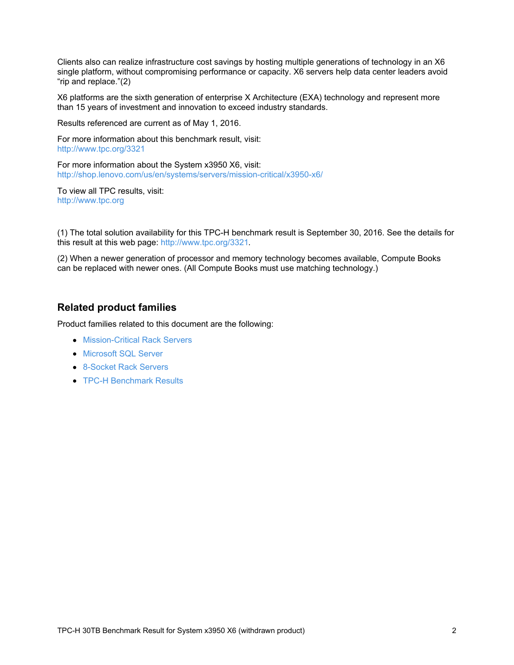Clients also can realize infrastructure cost savings by hosting multiple generations of technology in an X6 single platform, without compromising performance or capacity. X6 servers help data center leaders avoid "rip and replace."(2)

X6 platforms are the sixth generation of enterprise X Architecture (EXA) technology and represent more than 15 years of investment and innovation to exceed industry standards.

Results referenced are current as of May 1, 2016.

For more information about this benchmark result, visit: <http://www.tpc.org/3321>

For more information about the System x3950 X6, visit: <http://shop.lenovo.com/us/en/systems/servers/mission-critical/x3950-x6/>

To view all TPC results, visit: <http://www.tpc.org>

(1) The total solution availability for this TPC-H benchmark result is September 30, 2016. See the details for this result at this web page: <http://www.tpc.org/3321>.

(2) When a newer generation of processor and memory technology becomes available, Compute Books can be replaced with newer ones. (All Compute Books must use matching technology.)

#### **Related product families**

Product families related to this document are the following:

- **[Mission-Critical](https://lenovopress.com/servers/mission-critical/rack) Rack Servers**
- **[Microsoft](https://lenovopress.com/software/database/sql) SQL Server**
- [8-Socket](https://lenovopress.com/servers/racks/8s) Rack Servers
- **TPC-H [Benchmark](https://lenovopress.com/servers/benchmarks/tpc-h) Results**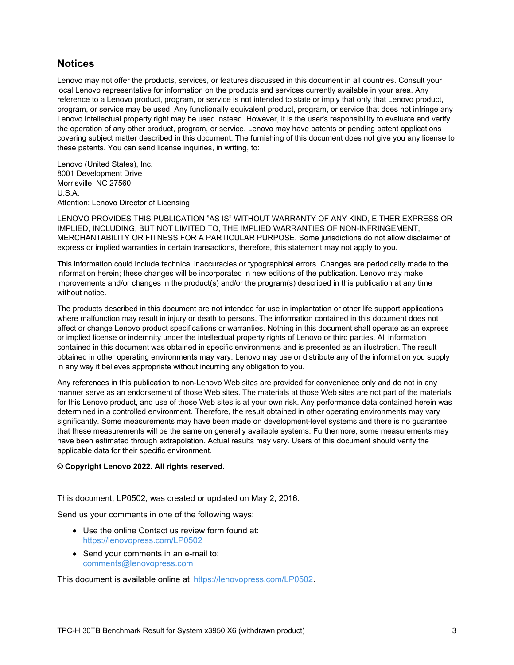### **Notices**

Lenovo may not offer the products, services, or features discussed in this document in all countries. Consult your local Lenovo representative for information on the products and services currently available in your area. Any reference to a Lenovo product, program, or service is not intended to state or imply that only that Lenovo product, program, or service may be used. Any functionally equivalent product, program, or service that does not infringe any Lenovo intellectual property right may be used instead. However, it is the user's responsibility to evaluate and verify the operation of any other product, program, or service. Lenovo may have patents or pending patent applications covering subject matter described in this document. The furnishing of this document does not give you any license to these patents. You can send license inquiries, in writing, to:

Lenovo (United States), Inc. 8001 Development Drive Morrisville, NC 27560 U.S.A. Attention: Lenovo Director of Licensing

LENOVO PROVIDES THIS PUBLICATION "AS IS" WITHOUT WARRANTY OF ANY KIND, EITHER EXPRESS OR IMPLIED, INCLUDING, BUT NOT LIMITED TO, THE IMPLIED WARRANTIES OF NON-INFRINGEMENT, MERCHANTABILITY OR FITNESS FOR A PARTICULAR PURPOSE. Some jurisdictions do not allow disclaimer of express or implied warranties in certain transactions, therefore, this statement may not apply to you.

This information could include technical inaccuracies or typographical errors. Changes are periodically made to the information herein; these changes will be incorporated in new editions of the publication. Lenovo may make improvements and/or changes in the product(s) and/or the program(s) described in this publication at any time without notice.

The products described in this document are not intended for use in implantation or other life support applications where malfunction may result in injury or death to persons. The information contained in this document does not affect or change Lenovo product specifications or warranties. Nothing in this document shall operate as an express or implied license or indemnity under the intellectual property rights of Lenovo or third parties. All information contained in this document was obtained in specific environments and is presented as an illustration. The result obtained in other operating environments may vary. Lenovo may use or distribute any of the information you supply in any way it believes appropriate without incurring any obligation to you.

Any references in this publication to non-Lenovo Web sites are provided for convenience only and do not in any manner serve as an endorsement of those Web sites. The materials at those Web sites are not part of the materials for this Lenovo product, and use of those Web sites is at your own risk. Any performance data contained herein was determined in a controlled environment. Therefore, the result obtained in other operating environments may vary significantly. Some measurements may have been made on development-level systems and there is no guarantee that these measurements will be the same on generally available systems. Furthermore, some measurements may have been estimated through extrapolation. Actual results may vary. Users of this document should verify the applicable data for their specific environment.

#### **© Copyright Lenovo 2022. All rights reserved.**

This document, LP0502, was created or updated on May 2, 2016.

Send us your comments in one of the following ways:

- Use the online Contact us review form found at: <https://lenovopress.com/LP0502>
- Send your comments in an e-mail to: [comments@lenovopress.com](mailto:comments@lenovopress.com?subject=Feedback for LP0502)

This document is available online at <https://lenovopress.com/LP0502>.